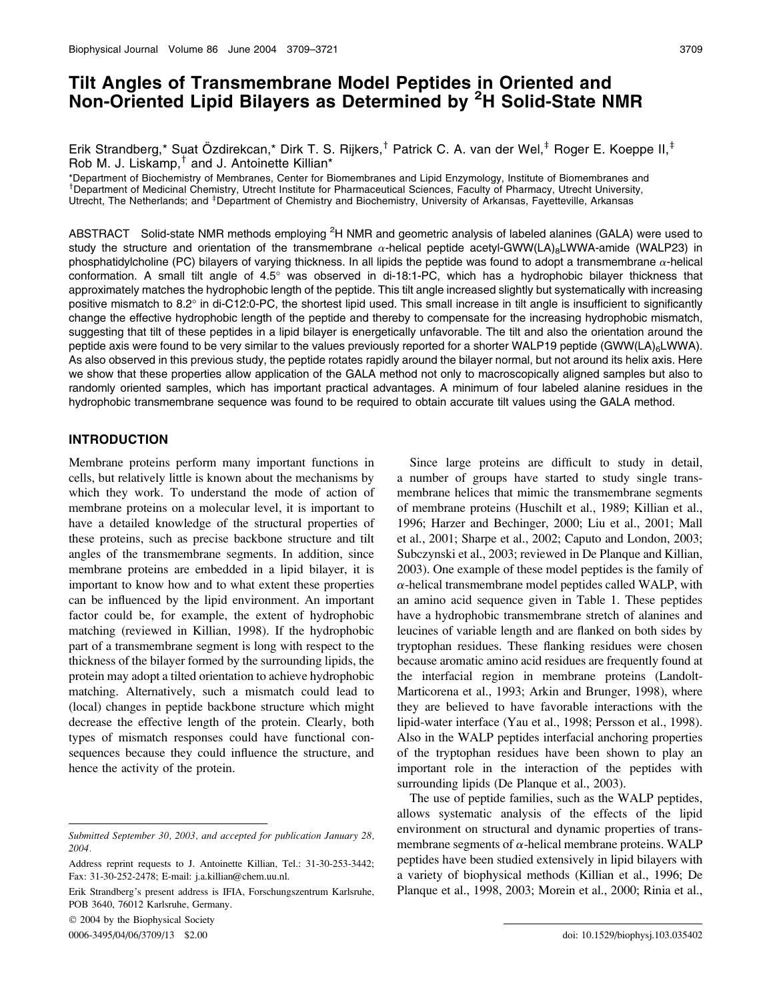# Tilt Angles of Transmembrane Model Peptides in Oriented and Non-Oriented Lipid Bilayers as Determined by <sup>2</sup>H Solid-State NMR

Erik Strandberg,\* Suat Özdirekcan,\* Dirk T. S. Rijkers,<sup>†</sup> Patrick C. A. van der Wel,<sup>‡</sup> Roger E. Koeppe II,<sup>‡</sup> Rob M. J. Liskamp,<sup>†</sup> and J. Antoinette Killian\*

\*Department of Biochemistry of Membranes, Center for Biomembranes and Lipid Enzymology, Institute of Biomembranes and <sup>†</sup>Department of Medicinal Chemistry, Utrecht Institute for Pharmaceutical Sciences, Faculty of Pharmacy, Utrecht University, Utrecht, The Netherlands; and <sup>‡</sup>Department of Chemistry and Biochemistry, University of Arkansas, Fayetteville, Arkansas

ABSTRACT Solid-state NMR methods employing <sup>2</sup>H NMR and geometric analysis of labeled alanines (GALA) were used to study the structure and orientation of the transmembrane  $\alpha$ -helical peptide acetyl-GWW(LA)<sub>8</sub>LWWA-amide (WALP23) in phosphatidylcholine (PC) bilayers of varying thickness. In all lipids the peptide was found to adopt a transmembrane  $\alpha$ -helical conformation. A small tilt angle of 4.5° was observed in di-18:1-PC, which has a hydrophobic bilayer thickness that approximately matches the hydrophobic length of the peptide. This tilt angle increased slightly but systematically with increasing positive mismatch to 8.2° in di-C12:0-PC, the shortest lipid used. This small increase in tilt angle is insufficient to significantly change the effective hydrophobic length of the peptide and thereby to compensate for the increasing hydrophobic mismatch, suggesting that tilt of these peptides in a lipid bilayer is energetically unfavorable. The tilt and also the orientation around the peptide axis were found to be very similar to the values previously reported for a shorter WALP19 peptide (GWW(LA)<sub>6</sub>LWWA). As also observed in this previous study, the peptide rotates rapidly around the bilayer normal, but not around its helix axis. Here we show that these properties allow application of the GALA method not only to macroscopically aligned samples but also to randomly oriented samples, which has important practical advantages. A minimum of four labeled alanine residues in the hydrophobic transmembrane sequence was found to be required to obtain accurate tilt values using the GALA method.

## INTRODUCTION

Membrane proteins perform many important functions in cells, but relatively little is known about the mechanisms by which they work. To understand the mode of action of membrane proteins on a molecular level, it is important to have a detailed knowledge of the structural properties of these proteins, such as precise backbone structure and tilt angles of the transmembrane segments. In addition, since membrane proteins are embedded in a lipid bilayer, it is important to know how and to what extent these properties can be influenced by the lipid environment. An important factor could be, for example, the extent of hydrophobic matching (reviewed in Killian, 1998). If the hydrophobic part of a transmembrane segment is long with respect to the thickness of the bilayer formed by the surrounding lipids, the protein may adopt a tilted orientation to achieve hydrophobic matching. Alternatively, such a mismatch could lead to (local) changes in peptide backbone structure which might decrease the effective length of the protein. Clearly, both types of mismatch responses could have functional consequences because they could influence the structure, and hence the activity of the protein.

 $© 2004$  by the Biophysical Society

Since large proteins are difficult to study in detail, a number of groups have started to study single transmembrane helices that mimic the transmembrane segments of membrane proteins (Huschilt et al., 1989; Killian et al., 1996; Harzer and Bechinger, 2000; Liu et al., 2001; Mall et al., 2001; Sharpe et al., 2002; Caputo and London, 2003; Subczynski et al., 2003; reviewed in De Planque and Killian, 2003). One example of these model peptides is the family of  $\alpha$ -helical transmembrane model peptides called WALP, with an amino acid sequence given in Table 1. These peptides have a hydrophobic transmembrane stretch of alanines and leucines of variable length and are flanked on both sides by tryptophan residues. These flanking residues were chosen because aromatic amino acid residues are frequently found at the interfacial region in membrane proteins (Landolt-Marticorena et al., 1993; Arkin and Brunger, 1998), where they are believed to have favorable interactions with the lipid-water interface (Yau et al., 1998; Persson et al., 1998). Also in the WALP peptides interfacial anchoring properties of the tryptophan residues have been shown to play an important role in the interaction of the peptides with surrounding lipids (De Planque et al., 2003).

The use of peptide families, such as the WALP peptides, allows systematic analysis of the effects of the lipid environment on structural and dynamic properties of transmembrane segments of  $\alpha$ -helical membrane proteins. WALP peptides have been studied extensively in lipid bilayers with a variety of biophysical methods (Killian et al., 1996; De Planque et al., 1998, 2003; Morein et al., 2000; Rinia et al.,

Submitted September 30, 2003, and accepted for publication January 28, 2004.

Address reprint requests to J. Antoinette Killian, Tel.: 31-30-253-3442; Fax: 31-30-252-2478; E-mail: j.a.killian@chem.uu.nl.

Erik Strandberg's present address is IFIA, Forschungszentrum Karlsruhe, POB 3640, 76012 Karlsruhe, Germany.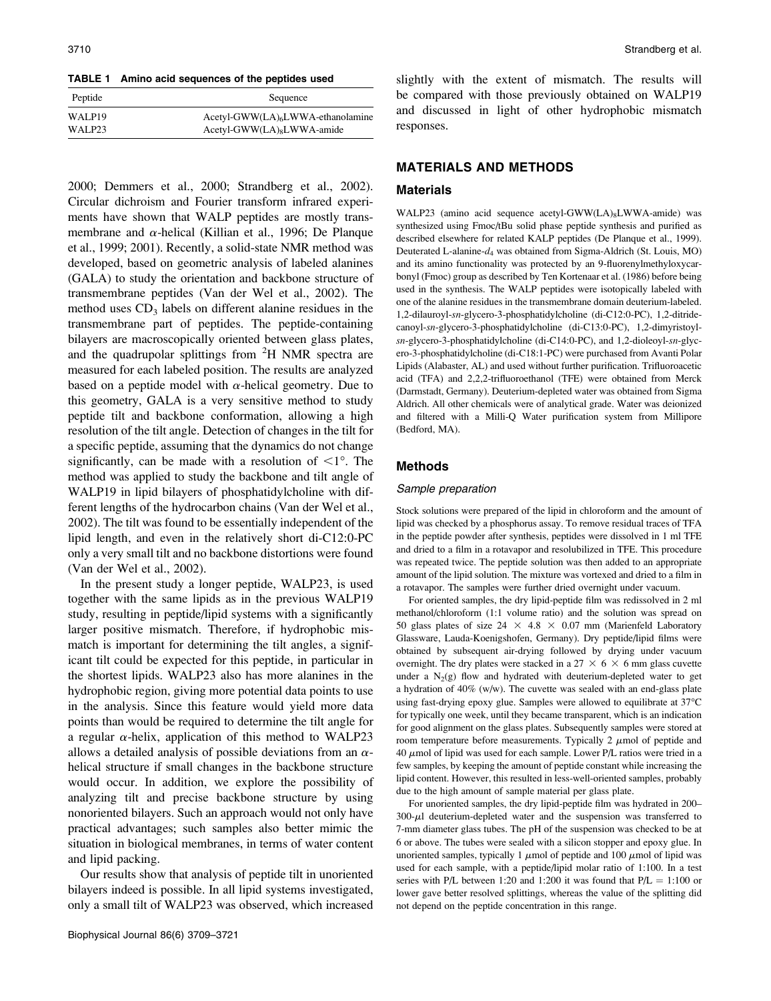TABLE 1 Amino acid sequences of the peptides used

| Peptide            | Sequence                          |  |  |
|--------------------|-----------------------------------|--|--|
| WALP <sub>19</sub> | $Actyl-GWW(LA)6LWWA-ethanolamine$ |  |  |
| WALP23             | $Acetyl-GWW(LA)8LWWA-amide$       |  |  |

2000; Demmers et al., 2000; Strandberg et al., 2002). Circular dichroism and Fourier transform infrared experiments have shown that WALP peptides are mostly transmembrane and  $\alpha$ -helical (Killian et al., 1996; De Planque et al., 1999; 2001). Recently, a solid-state NMR method was developed, based on geometric analysis of labeled alanines (GALA) to study the orientation and backbone structure of transmembrane peptides (Van der Wel et al., 2002). The method uses  $CD<sub>3</sub>$  labels on different alanine residues in the transmembrane part of peptides. The peptide-containing bilayers are macroscopically oriented between glass plates, and the quadrupolar splittings from <sup>2</sup>H NMR spectra are measured for each labeled position. The results are analyzed based on a peptide model with  $\alpha$ -helical geometry. Due to this geometry, GALA is a very sensitive method to study peptide tilt and backbone conformation, allowing a high resolution of the tilt angle. Detection of changes in the tilt for a specific peptide, assuming that the dynamics do not change significantly, can be made with a resolution of  $\langle 1^{\circ}$ . The method was applied to study the backbone and tilt angle of WALP19 in lipid bilayers of phosphatidylcholine with different lengths of the hydrocarbon chains (Van der Wel et al., 2002). The tilt was found to be essentially independent of the lipid length, and even in the relatively short di-C12:0-PC only a very small tilt and no backbone distortions were found (Van der Wel et al., 2002).

In the present study a longer peptide, WALP23, is used together with the same lipids as in the previous WALP19 study, resulting in peptide/lipid systems with a significantly larger positive mismatch. Therefore, if hydrophobic mismatch is important for determining the tilt angles, a significant tilt could be expected for this peptide, in particular in the shortest lipids. WALP23 also has more alanines in the hydrophobic region, giving more potential data points to use in the analysis. Since this feature would yield more data points than would be required to determine the tilt angle for a regular  $\alpha$ -helix, application of this method to WALP23 allows a detailed analysis of possible deviations from an  $\alpha$ helical structure if small changes in the backbone structure would occur. In addition, we explore the possibility of analyzing tilt and precise backbone structure by using nonoriented bilayers. Such an approach would not only have practical advantages; such samples also better mimic the situation in biological membranes, in terms of water content and lipid packing.

Our results show that analysis of peptide tilt in unoriented bilayers indeed is possible. In all lipid systems investigated, only a small tilt of WALP23 was observed, which increased slightly with the extent of mismatch. The results will be compared with those previously obtained on WALP19 and discussed in light of other hydrophobic mismatch responses.

# MATERIALS AND METHODS

#### Materials

WALP23 (amino acid sequence acetyl-GWW(LA)<sub>8</sub>LWWA-amide) was synthesized using Fmoc/tBu solid phase peptide synthesis and purified as described elsewhere for related KALP peptides (De Planque et al., 1999). Deuterated L-alanine- $d_4$  was obtained from Sigma-Aldrich (St. Louis, MO) and its amino functionality was protected by an 9-fluorenylmethyloxycarbonyl (Fmoc) group as described by Ten Kortenaar et al. (1986) before being used in the synthesis. The WALP peptides were isotopically labeled with one of the alanine residues in the transmembrane domain deuterium-labeled. 1,2-dilauroyl-sn-glycero-3-phosphatidylcholine (di-C12:0-PC), 1,2-ditridecanoyl-sn-glycero-3-phosphatidylcholine (di-C13:0-PC), 1,2-dimyristoylsn-glycero-3-phosphatidylcholine (di-C14:0-PC), and 1,2-dioleoyl-sn-glycero-3-phosphatidylcholine (di-C18:1-PC) were purchased from Avanti Polar Lipids (Alabaster, AL) and used without further purification. Trifluoroacetic acid (TFA) and 2,2,2-trifluoroethanol (TFE) were obtained from Merck (Darmstadt, Germany). Deuterium-depleted water was obtained from Sigma Aldrich. All other chemicals were of analytical grade. Water was deionized and filtered with a Milli-Q Water purification system from Millipore (Bedford, MA).

## Methods

#### Sample preparation

Stock solutions were prepared of the lipid in chloroform and the amount of lipid was checked by a phosphorus assay. To remove residual traces of TFA in the peptide powder after synthesis, peptides were dissolved in 1 ml TFE and dried to a film in a rotavapor and resolubilized in TFE. This procedure was repeated twice. The peptide solution was then added to an appropriate amount of the lipid solution. The mixture was vortexed and dried to a film in a rotavapor. The samples were further dried overnight under vacuum.

For oriented samples, the dry lipid-peptide film was redissolved in 2 ml methanol/chloroform (1:1 volume ratio) and the solution was spread on 50 glass plates of size 24  $\times$  4.8  $\times$  0.07 mm (Marienfeld Laboratory Glassware, Lauda-Koenigshofen, Germany). Dry peptide/lipid films were obtained by subsequent air-drying followed by drying under vacuum overnight. The dry plates were stacked in a 27  $\times$  6  $\times$  6 mm glass cuvette under a  $N_2(g)$  flow and hydrated with deuterium-depleted water to get a hydration of 40% (w/w). The cuvette was sealed with an end-glass plate using fast-drying epoxy glue. Samples were allowed to equilibrate at 37°C for typically one week, until they became transparent, which is an indication for good alignment on the glass plates. Subsequently samples were stored at room temperature before measurements. Typically  $2 \mu$  mol of peptide and  $40 \mu$ mol of lipid was used for each sample. Lower P/L ratios were tried in a few samples, by keeping the amount of peptide constant while increasing the lipid content. However, this resulted in less-well-oriented samples, probably due to the high amount of sample material per glass plate.

For unoriented samples, the dry lipid-peptide film was hydrated in 200–  $300-\mu$ l deuterium-depleted water and the suspension was transferred to 7-mm diameter glass tubes. The pH of the suspension was checked to be at 6 or above. The tubes were sealed with a silicon stopper and epoxy glue. In unoriented samples, typically 1  $\mu$ mol of peptide and 100  $\mu$ mol of lipid was used for each sample, with a peptide/lipid molar ratio of 1:100. In a test series with P/L between 1:20 and 1:200 it was found that  $P/L = 1:100$  or lower gave better resolved splittings, whereas the value of the splitting did not depend on the peptide concentration in this range.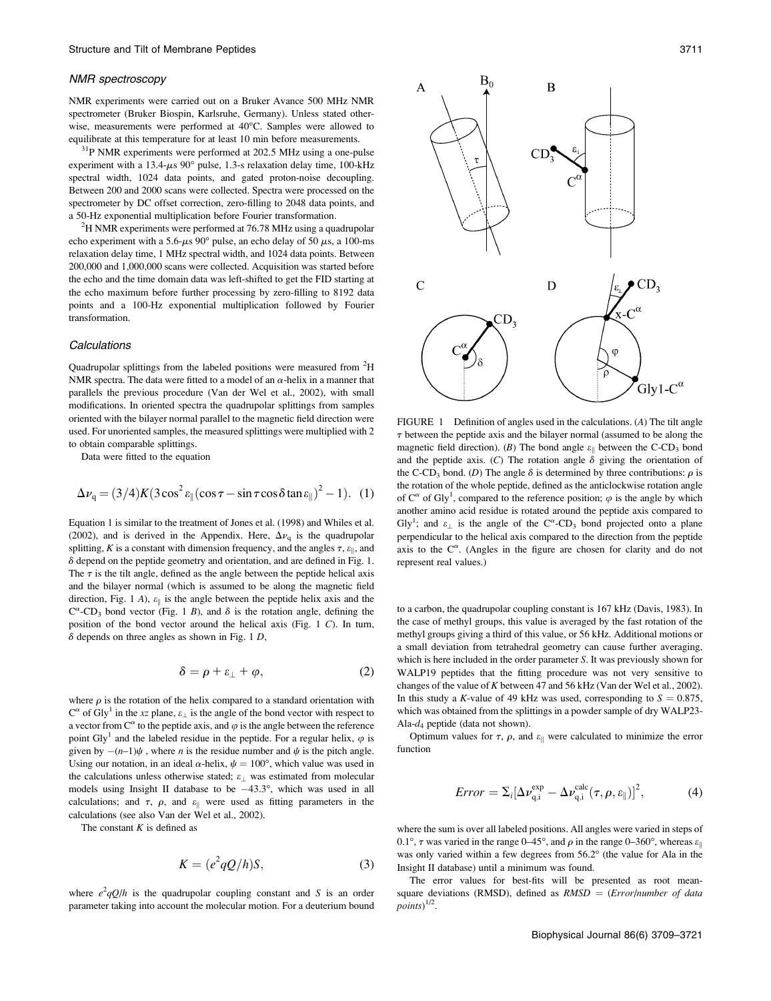#### NMR spectroscopy

NMR experiments were carried out on a Bruker Avance 500 MHz NMR spectrometer (Bruker Biospin, Karlsruhe, Germany). Unless stated otherwise, measurements were performed at 40°C. Samples were allowed to equilibrate at this temperature for at least 10 min before measurements.

<sup>31</sup>P NMR experiments were performed at 202.5 MHz using a one-pulse experiment with a 13.4- $\mu$ s 90° pulse, 1.3-s relaxation delay time, 100-kHz spectral width, 1024 data points, and gated proton-noise decoupling. Between 200 and 2000 scans were collected. Spectra were processed on the spectrometer by DC offset correction, zero-filling to 2048 data points, and a 50-Hz exponential multiplication before Fourier transformation. <sup>2</sup>

 $^{2}$ H NMR experiments were performed at 76.78 MHz using a quadrupolar echo experiment with a 5.6- $\mu$ s 90° pulse, an echo delay of 50  $\mu$ s, a 100-ms relaxation delay time, 1 MHz spectral width, and 1024 data points. Between 200,000 and 1,000,000 scans were collected. Acquisition was started before the echo and the time domain data was left-shifted to get the FID starting at the echo maximum before further processing by zero-filling to 8192 data points and a 100-Hz exponential multiplication followed by Fourier transformation.

#### **Calculations**

Quadrupolar splittings from the labeled positions were measured from <sup>2</sup>H NMR spectra. The data were fitted to a model of an  $\alpha$ -helix in a manner that parallels the previous procedure (Van der Wel et al., 2002), with small modifications. In oriented spectra the quadrupolar splittings from samples oriented with the bilayer normal parallel to the magnetic field direction were used. For unoriented samples, the measured splittings were multiplied with 2 to obtain comparable splittings.

Data were fitted to the equation

$$
\Delta \nu_{\rm q} = (3/4)K(3\cos^2\epsilon_{\parallel}(\cos\tau - \sin\tau\cos\delta\tan\epsilon_{\parallel})^2 - 1). \tag{1}
$$

Equation 1 is similar to the treatment of Jones et al. (1998) and Whiles et al. (2002), and is derived in the Appendix. Here,  $\Delta \nu_{q}$  is the quadrupolar splitting, K is a constant with dimension frequency, and the angles  $\tau$ ,  $\varepsilon_{\parallel}$ , and  $\delta$  depend on the peptide geometry and orientation, and are defined in Fig. 1. The  $\tau$  is the tilt angle, defined as the angle between the peptide helical axis and the bilayer normal (which is assumed to be along the magnetic field direction, Fig. 1 A),  $\varepsilon_{\parallel}$  is the angle between the peptide helix axis and the  $C^{\alpha}$ -CD<sub>3</sub> bond vector (Fig. 1 B), and  $\delta$  is the rotation angle, defining the position of the bond vector around the helical axis (Fig. 1 C). In turn,  $\delta$  depends on three angles as shown in Fig. 1 D,

$$
\delta = \rho + \varepsilon_{\perp} + \varphi, \tag{2}
$$

where  $\rho$  is the rotation of the helix compared to a standard orientation with  $C^{\alpha}$  of Gly<sup>1</sup> in the xz plane,  $\varepsilon_{\perp}$  is the angle of the bond vector with respect to a vector from  $C^{\alpha}$  to the peptide axis, and  $\varphi$  is the angle between the reference point Gly<sup>1</sup> and the labeled residue in the peptide. For a regular helix,  $\varphi$  is given by  $-(n-1)\psi$ , where *n* is the residue number and  $\psi$  is the pitch angle. Using our notation, in an ideal  $\alpha$ -helix,  $\psi = 100^{\circ}$ , which value was used in the calculations unless otherwise stated;  $\varepsilon_{\perp}$  was estimated from molecular models using Insight II database to be  $-43.3^{\circ}$ , which was used in all calculations; and  $\tau$ ,  $\rho$ , and  $\varepsilon_{\parallel}$  were used as fitting parameters in the calculations (see also Van der Wel et al., 2002).

The constant  $K$  is defined as

$$
K = (e^2 qQ/h)S,\t(3)
$$

where  $e^2qQ/h$  is the quadrupolar coupling constant and S is an order parameter taking into account the molecular motion. For a deuterium bound



FIGURE 1 Definition of angles used in the calculations. (A) The tilt angle  $\tau$  between the peptide axis and the bilayer normal (assumed to be along the magnetic field direction). (B) The bond angle  $\varepsilon_{\parallel}$  between the C-CD<sub>3</sub> bond and the peptide axis. (C) The rotation angle  $\delta$  giving the orientation of the C-CD<sub>3</sub> bond. (D) The angle  $\delta$  is determined by three contributions:  $\rho$  is the rotation of the whole peptide, defined as the anticlockwise rotation angle of  $C^{\alpha}$  of Gly<sup>1</sup>, compared to the reference position;  $\varphi$  is the angle by which another amino acid residue is rotated around the peptide axis compared to Gly<sup>1</sup>; and  $\varepsilon_{\perp}$  is the angle of the C<sup> $\alpha$ </sup>-CD<sub>3</sub> bond projected onto a plane perpendicular to the helical axis compared to the direction from the peptide axis to the  $C^{\alpha}$ . (Angles in the figure are chosen for clarity and do not represent real values.)

to a carbon, the quadrupolar coupling constant is 167 kHz (Davis, 1983). In the case of methyl groups, this value is averaged by the fast rotation of the methyl groups giving a third of this value, or 56 kHz. Additional motions or a small deviation from tetrahedral geometry can cause further averaging, which is here included in the order parameter S. It was previously shown for WALP19 peptides that the fitting procedure was not very sensitive to changes of the value of K between 47 and 56 kHz (Van der Wel et al., 2002). In this study a K-value of 49 kHz was used, corresponding to  $S = 0.875$ , which was obtained from the splittings in a powder sample of dry WALP23- Ala- $d_4$  peptide (data not shown).

Optimum values for  $\tau$ ,  $\rho$ , and  $\varepsilon_{\parallel}$  were calculated to minimize the error function

$$
Error = \Sigma_i[\Delta v_{q,i}^{\text{exp}} - \Delta v_{q,i}^{\text{calc}}(\tau, \rho, \varepsilon_{\parallel})]^2, \qquad (4)
$$

where the sum is over all labeled positions. All angles were varied in steps of 0.1°,  $\tau$  was varied in the range 0–45°, and  $\rho$  in the range 0–360°, whereas  $\varepsilon_{\parallel}$ was only varied within a few degrees from  $56.2^\circ$  (the value for Ala in the Insight II database) until a minimum was found.

The error values for best-fits will be presented as root meansquare deviations (RMSD), defined as  $RMSD = (Error/number \ of \ data)$  $points)^{1/2}$ .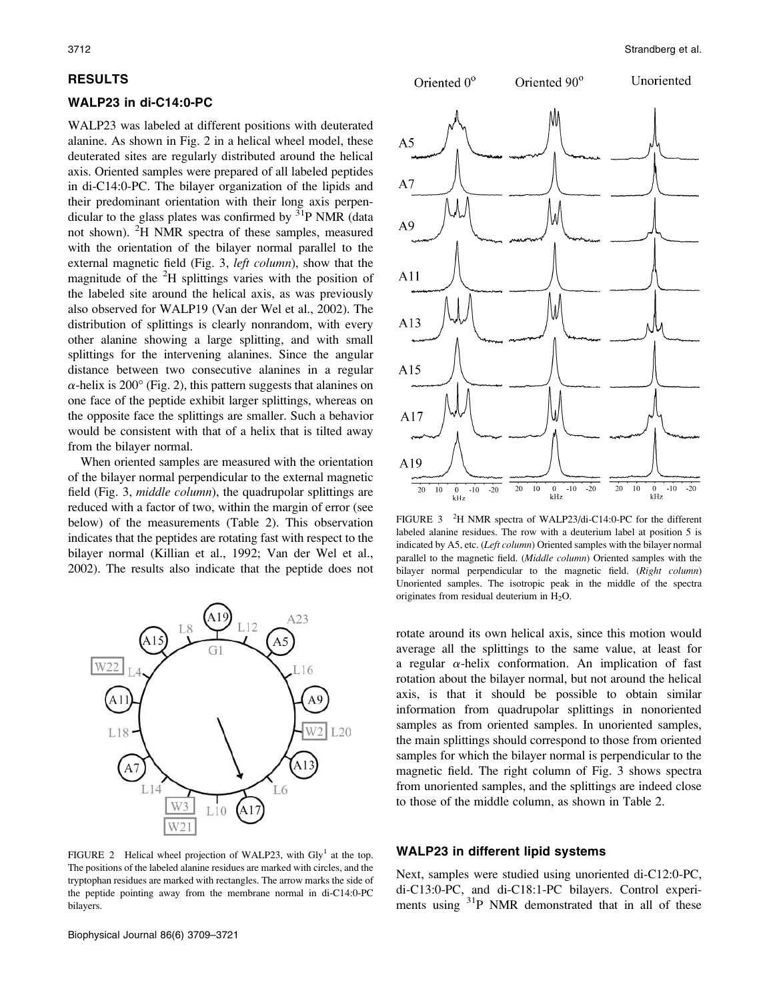## RESULTS

# WALP23 in di-C14:0-PC

WALP23 was labeled at different positions with deuterated alanine. As shown in Fig. 2 in a helical wheel model, these deuterated sites are regularly distributed around the helical axis. Oriented samples were prepared of all labeled peptides in di-C14:0-PC. The bilayer organization of the lipids and their predominant orientation with their long axis perpendicular to the glass plates was confirmed by  ${}^{31}P$  NMR (data not shown). <sup>2</sup>H NMR spectra of these samples, measured with the orientation of the bilayer normal parallel to the external magnetic field (Fig. 3, *left column*), show that the magnitude of the <sup>2</sup>H splittings varies with the position of the labeled site around the helical axis, as was previously also observed for WALP19 (Van der Wel et al., 2002). The distribution of splittings is clearly nonrandom, with every other alanine showing a large splitting, and with small splittings for the intervening alanines. Since the angular distance between two consecutive alanines in a regular  $\alpha$ -helix is 200 $^{\circ}$  (Fig. 2), this pattern suggests that alanines on one face of the peptide exhibit larger splittings, whereas on the opposite face the splittings are smaller. Such a behavior would be consistent with that of a helix that is tilted away from the bilayer normal.

When oriented samples are measured with the orientation of the bilayer normal perpendicular to the external magnetic field (Fig. 3, middle column), the quadrupolar splittings are reduced with a factor of two, within the margin of error (see below) of the measurements (Table 2). This observation indicates that the peptides are rotating fast with respect to the bilayer normal (Killian et al., 1992; Van der Wel et al., 2002). The results also indicate that the peptide does not



FIGURE 2 Helical wheel projection of WALP23, with  $\text{Gly}^1$  at the top. The positions of the labeled alanine residues are marked with circles, and the tryptophan residues are marked with rectangles. The arrow marks the side of the peptide pointing away from the membrane normal in di-C14:0-PC bilayers.

Biophysical Journal 86(6) 3709–3721



FIGURE 3<sup>2</sup>H NMR spectra of WALP23/di-C14:0-PC for the different labeled alanine residues. The row with a deuterium label at position 5 is indicated by A5, etc. (Left column) Oriented samples with the bilayer normal parallel to the magnetic field. (Middle column) Oriented samples with the bilayer normal perpendicular to the magnetic field. (Right column) Unoriented samples. The isotropic peak in the middle of the spectra originates from residual deuterium in  $H_2O$ .

rotate around its own helical axis, since this motion would average all the splittings to the same value, at least for a regular  $\alpha$ -helix conformation. An implication of fast rotation about the bilayer normal, but not around the helical axis, is that it should be possible to obtain similar information from quadrupolar splittings in nonoriented samples as from oriented samples. In unoriented samples, the main splittings should correspond to those from oriented samples for which the bilayer normal is perpendicular to the magnetic field. The right column of Fig. 3 shows spectra from unoriented samples, and the splittings are indeed close to those of the middle column, as shown in Table 2.

## WALP23 in different lipid systems

Next, samples were studied using unoriented di-C12:0-PC, di-C13:0-PC, and di-C18:1-PC bilayers. Control experiments using 31P NMR demonstrated that in all of these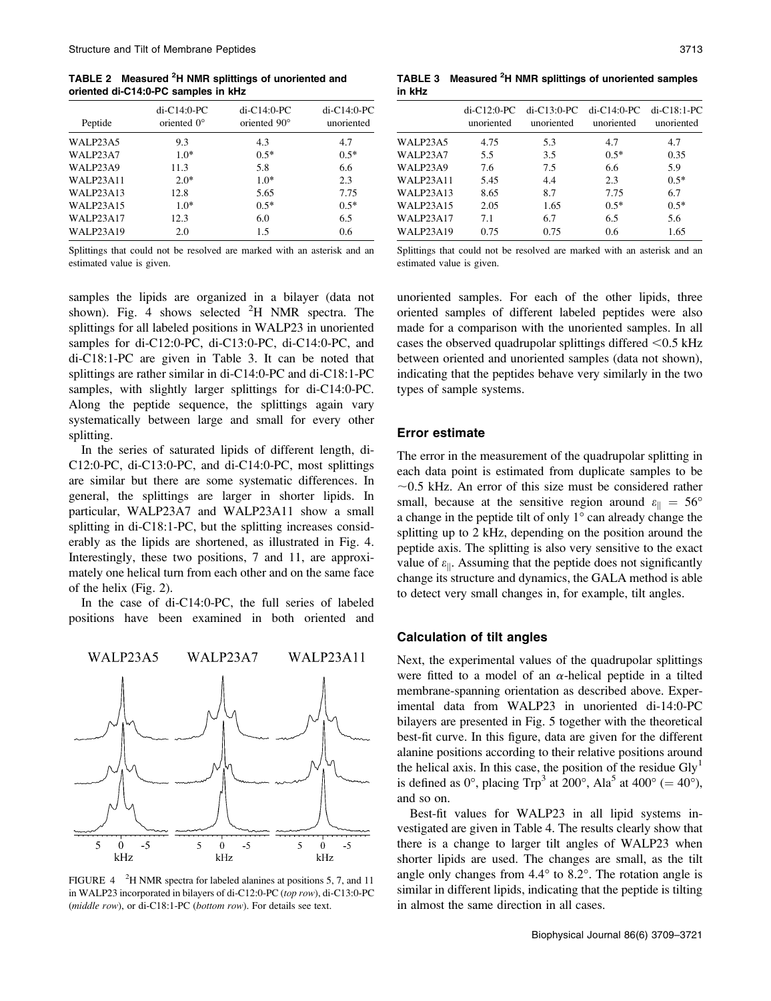TABLE 2 Measured <sup>2</sup>H NMR splittings of unoriented and oriented di-C14:0-PC samples in kHz

| Peptide          | $di$ -C14:0-PC<br>oriented $0^{\circ}$ | $di$ -C14:0-PC<br>oriented 90° | $di$ -C14:0-PC<br>unoriented |
|------------------|----------------------------------------|--------------------------------|------------------------------|
| <b>WALP23A5</b>  | 9.3                                    | 4.3                            | 4.7                          |
| WALP23A7         | $1.0*$                                 | $0.5*$                         | $0.5*$                       |
| WALP23A9         | 11.3                                   | 5.8                            | 6.6                          |
| <b>WALP23A11</b> | $2.0*$                                 | $1.0*$                         | 2.3                          |
| <b>WALP23A13</b> | 12.8                                   | 5.65                           | 7.75                         |
| WALP23A15        | $1.0*$                                 | $0.5*$                         | $0.5*$                       |
| WALP23A17        | 12.3                                   | 6.0                            | 6.5                          |
| WALP23A19        | 2.0                                    | 1.5                            | 0.6                          |

Splittings that could not be resolved are marked with an asterisk and an estimated value is given.

samples the lipids are organized in a bilayer (data not shown). Fig. 4 shows selected  ${}^{2}H$  NMR spectra. The splittings for all labeled positions in WALP23 in unoriented samples for di-C12:0-PC, di-C13:0-PC, di-C14:0-PC, and di-C18:1-PC are given in Table 3. It can be noted that splittings are rather similar in di-C14:0-PC and di-C18:1-PC samples, with slightly larger splittings for di-C14:0-PC. Along the peptide sequence, the splittings again vary systematically between large and small for every other splitting.

In the series of saturated lipids of different length, di-C12:0-PC, di-C13:0-PC, and di-C14:0-PC, most splittings are similar but there are some systematic differences. In general, the splittings are larger in shorter lipids. In particular, WALP23A7 and WALP23A11 show a small splitting in di-C18:1-PC, but the splitting increases considerably as the lipids are shortened, as illustrated in Fig. 4. Interestingly, these two positions, 7 and 11, are approximately one helical turn from each other and on the same face of the helix (Fig. 2).

In the case of di-C14:0-PC, the full series of labeled positions have been examined in both oriented and



FIGURE  $4 \text{ }^{2}$ H NMR spectra for labeled alanines at positions 5, 7, and 11 in WALP23 incorporated in bilayers of di-C12:0-PC (top row), di-C13:0-PC (middle row), or di-C18:1-PC (bottom row). For details see text.

TABLE 3 Measured <sup>2</sup>H NMR splittings of unoriented samples in kHz

|           | $di-C12:0-PC$<br>unoriented | $di-C13:0-PC$<br>unoriented | di-C14:0-PC<br>unoriented | $di-C18:1-PC$<br>unoriented |
|-----------|-----------------------------|-----------------------------|---------------------------|-----------------------------|
| WALP23A5  | 4.75                        | 5.3                         | 4.7                       | 4.7                         |
| WALP23A7  | 5.5                         | 3.5                         | $0.5*$                    | 0.35                        |
| WALP23A9  | 7.6                         | 7.5                         | 6.6                       | 5.9                         |
| WALP23A11 | 5.45                        | 4.4                         | 2.3                       | $0.5*$                      |
| WALP23A13 | 8.65                        | 8.7                         | 7.75                      | 6.7                         |
| WALP23A15 | 2.05                        | 1.65                        | $0.5*$                    | $0.5*$                      |
| WALP23A17 | 7.1                         | 6.7                         | 6.5                       | 5.6                         |
| WALP23A19 | 0.75                        | 0.75                        | 0.6                       | 1.65                        |

Splittings that could not be resolved are marked with an asterisk and an estimated value is given.

unoriented samples. For each of the other lipids, three oriented samples of different labeled peptides were also made for a comparison with the unoriented samples. In all cases the observed quadrupolar splittings differed  $\leq 0.5$  kHz between oriented and unoriented samples (data not shown), indicating that the peptides behave very similarly in the two types of sample systems.

## Error estimate

The error in the measurement of the quadrupolar splitting in each data point is estimated from duplicate samples to be  $\sim$ 0.5 kHz. An error of this size must be considered rather small, because at the sensitive region around  $\varepsilon_{\parallel} = 56^{\circ}$ a change in the peptide tilt of only  $1^\circ$  can already change the splitting up to 2 kHz, depending on the position around the peptide axis. The splitting is also very sensitive to the exact value of  $\varepsilon_{\parallel}$ . Assuming that the peptide does not significantly change its structure and dynamics, the GALA method is able to detect very small changes in, for example, tilt angles.

## Calculation of tilt angles

Next, the experimental values of the quadrupolar splittings were fitted to a model of an  $\alpha$ -helical peptide in a tilted membrane-spanning orientation as described above. Experimental data from WALP23 in unoriented di-14:0-PC bilayers are presented in Fig. 5 together with the theoretical best-fit curve. In this figure, data are given for the different alanine positions according to their relative positions around the helical axis. In this case, the position of the residue  $\text{GIy}^1$ is defined as  $0^{\circ}$ , placing Trp<sup>3</sup> at 200°, Ala<sup>5</sup> at 400° (= 40°), and so on.

Best-fit values for WALP23 in all lipid systems investigated are given in Table 4. The results clearly show that there is a change to larger tilt angles of WALP23 when shorter lipids are used. The changes are small, as the tilt angle only changes from  $4.4^{\circ}$  to  $8.2^{\circ}$ . The rotation angle is similar in different lipids, indicating that the peptide is tilting in almost the same direction in all cases.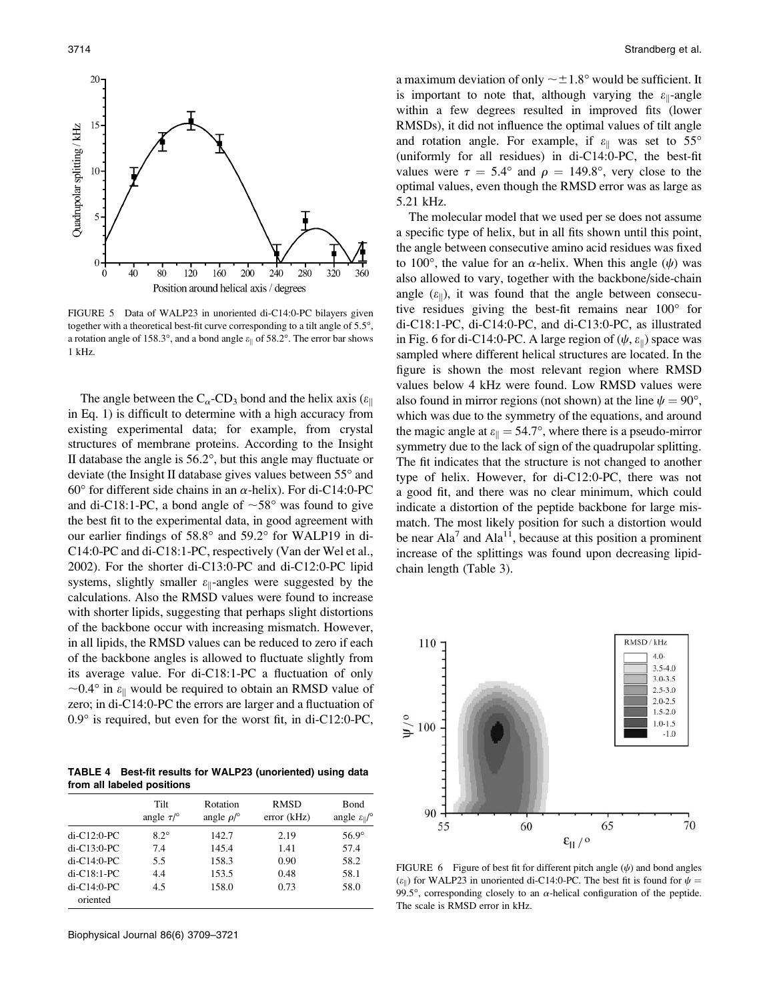

FIGURE 5 Data of WALP23 in unoriented di-C14:0-PC bilayers given together with a theoretical best-fit curve corresponding to a tilt angle of 5.5°, a rotation angle of 158.3°, and a bond angle  $\varepsilon_{\parallel}$  of 58.2°. The error bar shows 1 kHz.

The angle between the  $C_{\alpha}$ -CD<sub>3</sub> bond and the helix axis ( $\varepsilon_{\parallel}$ ) in Eq. 1) is difficult to determine with a high accuracy from existing experimental data; for example, from crystal structures of membrane proteins. According to the Insight II database the angle is  $56.2^{\circ}$ , but this angle may fluctuate or deviate (the Insight II database gives values between  $55^{\circ}$  and 60 $\degree$  for different side chains in an  $\alpha$ -helix). For di-C14:0-PC and di-C18:1-PC, a bond angle of  $\sim 58^\circ$  was found to give the best fit to the experimental data, in good agreement with our earlier findings of  $58.8^\circ$  and  $59.2^\circ$  for WALP19 in di-C14:0-PC and di-C18:1-PC, respectively (Van der Wel et al., 2002). For the shorter di-C13:0-PC and di-C12:0-PC lipid systems, slightly smaller  $\varepsilon_{\parallel}$ -angles were suggested by the calculations. Also the RMSD values were found to increase with shorter lipids, suggesting that perhaps slight distortions of the backbone occur with increasing mismatch. However, in all lipids, the RMSD values can be reduced to zero if each of the backbone angles is allowed to fluctuate slightly from its average value. For di-C18:1-PC a fluctuation of only  $\sim$ 0.4 $\degree$  in  $\varepsilon_{\parallel}$  would be required to obtain an RMSD value of zero; in di-C14:0-PC the errors are larger and a fluctuation of  $0.9^{\circ}$  is required, but even for the worst fit, in di-C12:0-PC,

TABLE 4 Best-fit results for WALP23 (unoriented) using data from all labeled positions

|                           | Tilt<br>angle $\tau$ /° | Rotation<br>angle $\rho$ /° | <b>RMSD</b><br>error (kHz) | Bond<br>angle $\varepsilon_{\parallel}/^{\circ}$ |
|---------------------------|-------------------------|-----------------------------|----------------------------|--------------------------------------------------|
| $di-C12:0-PC$             | $8.2^\circ$             | 142.7                       | 2.19                       | $56.9^\circ$                                     |
| $di-C13:0-PC$             | 7.4                     | 145.4                       | 1.41                       | 57.4                                             |
| $di-C14:0-PC$             | 5.5                     | 158.3                       | 0.90                       | 58.2                                             |
| $di-C18:1-PC$             | 4.4                     | 153.5                       | 0.48                       | 58.1                                             |
| $di-C14:0-PC$<br>oriented | 4.5                     | 158.0                       | 0.73                       | 58.0                                             |

a maximum deviation of only  $\sim \pm 1.8^{\circ}$  would be sufficient. It is important to note that, although varying the  $\varepsilon_{\parallel}$ -angle within a few degrees resulted in improved fits (lower RMSDs), it did not influence the optimal values of tilt angle and rotation angle. For example, if  $\varepsilon_{\parallel}$  was set to 55° (uniformly for all residues) in di-C14:0-PC, the best-fit values were  $\tau = 5.4^{\circ}$  and  $\rho = 149.8^{\circ}$ , very close to the optimal values, even though the RMSD error was as large as 5.21 kHz.

The molecular model that we used per se does not assume a specific type of helix, but in all fits shown until this point, the angle between consecutive amino acid residues was fixed to 100°, the value for an  $\alpha$ -helix. When this angle ( $\psi$ ) was also allowed to vary, together with the backbone/side-chain angle  $(\varepsilon_{\parallel})$ , it was found that the angle between consecutive residues giving the best-fit remains near  $100^{\circ}$  for di-C18:1-PC, di-C14:0-PC, and di-C13:0-PC, as illustrated in Fig. 6 for di-C14:0-PC. A large region of  $(\psi, \varepsilon_{\parallel})$  space was sampled where different helical structures are located. In the figure is shown the most relevant region where RMSD values below 4 kHz were found. Low RMSD values were also found in mirror regions (not shown) at the line  $\psi = 90^{\circ}$ , which was due to the symmetry of the equations, and around the magic angle at  $\varepsilon_{\parallel} = 54.7^{\circ}$ , where there is a pseudo-mirror symmetry due to the lack of sign of the quadrupolar splitting. The fit indicates that the structure is not changed to another type of helix. However, for di-C12:0-PC, there was not a good fit, and there was no clear minimum, which could indicate a distortion of the peptide backbone for large mismatch. The most likely position for such a distortion would be near  $\text{Ala}^7$  and  $\text{Ala}^{11}$ , because at this position a prominent increase of the splittings was found upon decreasing lipidchain length (Table 3).



FIGURE 6 Figure of best fit for different pitch angle  $(\psi)$  and bond angles  $(\varepsilon_{\parallel})$  for WALP23 in unoriented di-C14:0-PC. The best fit is found for  $\psi =$ 99.5°, corresponding closely to an  $\alpha$ -helical configuration of the peptide. The scale is RMSD error in kHz.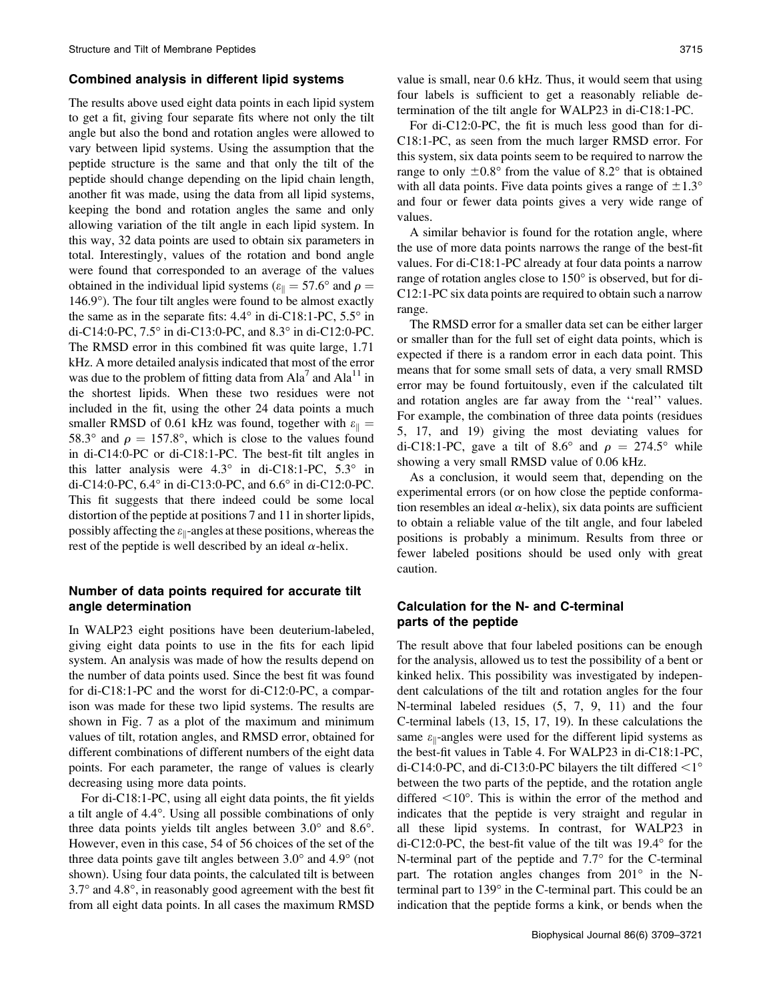## Combined analysis in different lipid systems

The results above used eight data points in each lipid system to get a fit, giving four separate fits where not only the tilt angle but also the bond and rotation angles were allowed to vary between lipid systems. Using the assumption that the peptide structure is the same and that only the tilt of the peptide should change depending on the lipid chain length, another fit was made, using the data from all lipid systems, keeping the bond and rotation angles the same and only allowing variation of the tilt angle in each lipid system. In this way, 32 data points are used to obtain six parameters in total. Interestingly, values of the rotation and bond angle were found that corresponded to an average of the values obtained in the individual lipid systems ( $\varepsilon_{\parallel} = 57.6^{\circ}$  and  $\rho =$ 146.9°). The four tilt angles were found to be almost exactly the same as in the separate fits:  $4.4^{\circ}$  in di-C18:1-PC,  $5.5^{\circ}$  in di-C14:0-PC, 7.5° in di-C13:0-PC, and 8.3° in di-C12:0-PC. The RMSD error in this combined fit was quite large, 1.71 kHz. A more detailed analysis indicated that most of the error was due to the problem of fitting data from  $Ala^7$  and  $Ala^{11}$  in the shortest lipids. When these two residues were not included in the fit, using the other 24 data points a much smaller RMSD of 0.61 kHz was found, together with  $\varepsilon_{\parallel} =$ 58.3° and  $\rho = 157.8$ °, which is close to the values found in di-C14:0-PC or di-C18:1-PC. The best-fit tilt angles in this latter analysis were  $4.3^{\circ}$  in di-C18:1-PC,  $5.3^{\circ}$  in di-C14:0-PC,  $6.4^{\circ}$  in di-C13:0-PC, and  $6.6^{\circ}$  in di-C12:0-PC. This fit suggests that there indeed could be some local distortion of the peptide at positions 7 and 11 in shorter lipids, possibly affecting the  $\varepsilon_{\parallel}$ -angles at these positions, whereas the rest of the peptide is well described by an ideal  $\alpha$ -helix.

# Number of data points required for accurate tilt angle determination

In WALP23 eight positions have been deuterium-labeled, giving eight data points to use in the fits for each lipid system. An analysis was made of how the results depend on the number of data points used. Since the best fit was found for di-C18:1-PC and the worst for di-C12:0-PC, a comparison was made for these two lipid systems. The results are shown in Fig. 7 as a plot of the maximum and minimum values of tilt, rotation angles, and RMSD error, obtained for different combinations of different numbers of the eight data points. For each parameter, the range of values is clearly decreasing using more data points.

For di-C18:1-PC, using all eight data points, the fit yields a tilt angle of 4.4°. Using all possible combinations of only three data points yields tilt angles between  $3.0^{\circ}$  and  $8.6^{\circ}$ . However, even in this case, 54 of 56 choices of the set of the three data points gave tilt angles between  $3.0^{\circ}$  and  $4.9^{\circ}$  (not shown). Using four data points, the calculated tilt is between  $3.7^{\circ}$  and  $4.8^{\circ}$ , in reasonably good agreement with the best fit from all eight data points. In all cases the maximum RMSD

value is small, near 0.6 kHz. Thus, it would seem that using four labels is sufficient to get a reasonably reliable determination of the tilt angle for WALP23 in di-C18:1-PC.

For di-C12:0-PC, the fit is much less good than for di-C18:1-PC, as seen from the much larger RMSD error. For this system, six data points seem to be required to narrow the range to only  $\pm 0.8^{\circ}$  from the value of 8.2° that is obtained with all data points. Five data points gives a range of  $\pm 1.3^{\circ}$ and four or fewer data points gives a very wide range of values.

A similar behavior is found for the rotation angle, where the use of more data points narrows the range of the best-fit values. For di-C18:1-PC already at four data points a narrow range of rotation angles close to 150° is observed, but for di-C12:1-PC six data points are required to obtain such a narrow range.

The RMSD error for a smaller data set can be either larger or smaller than for the full set of eight data points, which is expected if there is a random error in each data point. This means that for some small sets of data, a very small RMSD error may be found fortuitously, even if the calculated tilt and rotation angles are far away from the ''real'' values. For example, the combination of three data points (residues 5, 17, and 19) giving the most deviating values for di-C18:1-PC, gave a tilt of 8.6° and  $\rho = 274.5$ ° while showing a very small RMSD value of 0.06 kHz.

As a conclusion, it would seem that, depending on the experimental errors (or on how close the peptide conformation resembles an ideal  $\alpha$ -helix), six data points are sufficient to obtain a reliable value of the tilt angle, and four labeled positions is probably a minimum. Results from three or fewer labeled positions should be used only with great caution.

# Calculation for the N- and C-terminal parts of the peptide

The result above that four labeled positions can be enough for the analysis, allowed us to test the possibility of a bent or kinked helix. This possibility was investigated by independent calculations of the tilt and rotation angles for the four N-terminal labeled residues (5, 7, 9, 11) and the four C-terminal labels (13, 15, 17, 19). In these calculations the same  $\varepsilon_{\parallel}$ -angles were used for the different lipid systems as the best-fit values in Table 4. For WALP23 in di-C18:1-PC, di-C14:0-PC, and di-C13:0-PC bilayers the tilt differed  $\leq 1^{\circ}$ between the two parts of the peptide, and the rotation angle differed  $< 10^{\circ}$ . This is within the error of the method and indicates that the peptide is very straight and regular in all these lipid systems. In contrast, for WALP23 in di-C12:0-PC, the best-fit value of the tilt was  $19.4^\circ$  for the N-terminal part of the peptide and  $7.7^\circ$  for the C-terminal part. The rotation angles changes from  $201^\circ$  in the Nterminal part to 139° in the C-terminal part. This could be an indication that the peptide forms a kink, or bends when the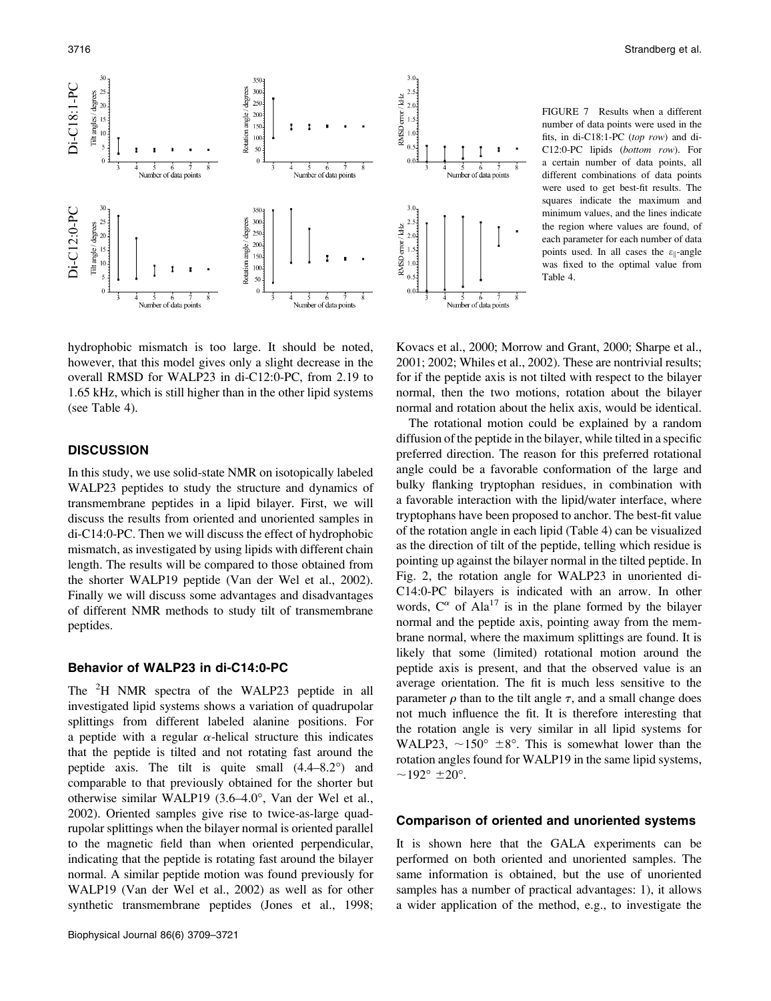

hydrophobic mismatch is too large. It should be noted, however, that this model gives only a slight decrease in the overall RMSD for WALP23 in di-C12:0-PC, from 2.19 to 1.65 kHz, which is still higher than in the other lipid systems (see Table 4).

# **DISCUSSION**

In this study, we use solid-state NMR on isotopically labeled WALP23 peptides to study the structure and dynamics of transmembrane peptides in a lipid bilayer. First, we will discuss the results from oriented and unoriented samples in di-C14:0-PC. Then we will discuss the effect of hydrophobic mismatch, as investigated by using lipids with different chain length. The results will be compared to those obtained from the shorter WALP19 peptide (Van der Wel et al., 2002). Finally we will discuss some advantages and disadvantages of different NMR methods to study tilt of transmembrane peptides.

# Behavior of WALP23 in di-C14:0-PC

The <sup>2</sup>H NMR spectra of the WALP23 peptide in all investigated lipid systems shows a variation of quadrupolar splittings from different labeled alanine positions. For a peptide with a regular  $\alpha$ -helical structure this indicates that the peptide is tilted and not rotating fast around the peptide axis. The tilt is quite small  $(4.4-8.2^{\circ})$  and comparable to that previously obtained for the shorter but otherwise similar WALP19  $(3.6-4.0^{\circ})$ , Van der Wel et al., 2002). Oriented samples give rise to twice-as-large quadrupolar splittings when the bilayer normal is oriented parallel to the magnetic field than when oriented perpendicular, indicating that the peptide is rotating fast around the bilayer normal. A similar peptide motion was found previously for WALP19 (Van der Wel et al., 2002) as well as for other synthetic transmembrane peptides (Jones et al., 1998;



FIGURE 7 Results when a different number of data points were used in the fits, in di-C18:1-PC (top row) and di-C12:0-PC lipids (bottom row). For a certain number of data points, all different combinations of data points were used to get best-fit results. The squares indicate the maximum and minimum values, and the lines indicate the region where values are found, of each parameter for each number of data points used. In all cases the  $\varepsilon_{\parallel}$ -angle was fixed to the optimal value from Table 4.

Kovacs et al., 2000; Morrow and Grant, 2000; Sharpe et al., 2001; 2002; Whiles et al., 2002). These are nontrivial results; for if the peptide axis is not tilted with respect to the bilayer normal, then the two motions, rotation about the bilayer normal and rotation about the helix axis, would be identical.

The rotational motion could be explained by a random diffusion of the peptide in the bilayer, while tilted in a specific preferred direction. The reason for this preferred rotational angle could be a favorable conformation of the large and bulky flanking tryptophan residues, in combination with a favorable interaction with the lipid/water interface, where tryptophans have been proposed to anchor. The best-fit value of the rotation angle in each lipid (Table 4) can be visualized as the direction of tilt of the peptide, telling which residue is pointing up against the bilayer normal in the tilted peptide. In Fig. 2, the rotation angle for WALP23 in unoriented di-C14:0-PC bilayers is indicated with an arrow. In other words,  $C^{\alpha}$  of Ala<sup>17</sup> is in the plane formed by the bilayer normal and the peptide axis, pointing away from the membrane normal, where the maximum splittings are found. It is likely that some (limited) rotational motion around the peptide axis is present, and that the observed value is an average orientation. The fit is much less sensitive to the parameter  $\rho$  than to the tilt angle  $\tau$ , and a small change does not much influence the fit. It is therefore interesting that the rotation angle is very similar in all lipid systems for WALP23,  $\sim$ 150 $\degree$  ±8 $\degree$ . This is somewhat lower than the rotation angles found for WALP19 in the same lipid systems,  $\sim$ 192°  $\pm$ 20°.

# Comparison of oriented and unoriented systems

It is shown here that the GALA experiments can be performed on both oriented and unoriented samples. The same information is obtained, but the use of unoriented samples has a number of practical advantages: 1), it allows a wider application of the method, e.g., to investigate the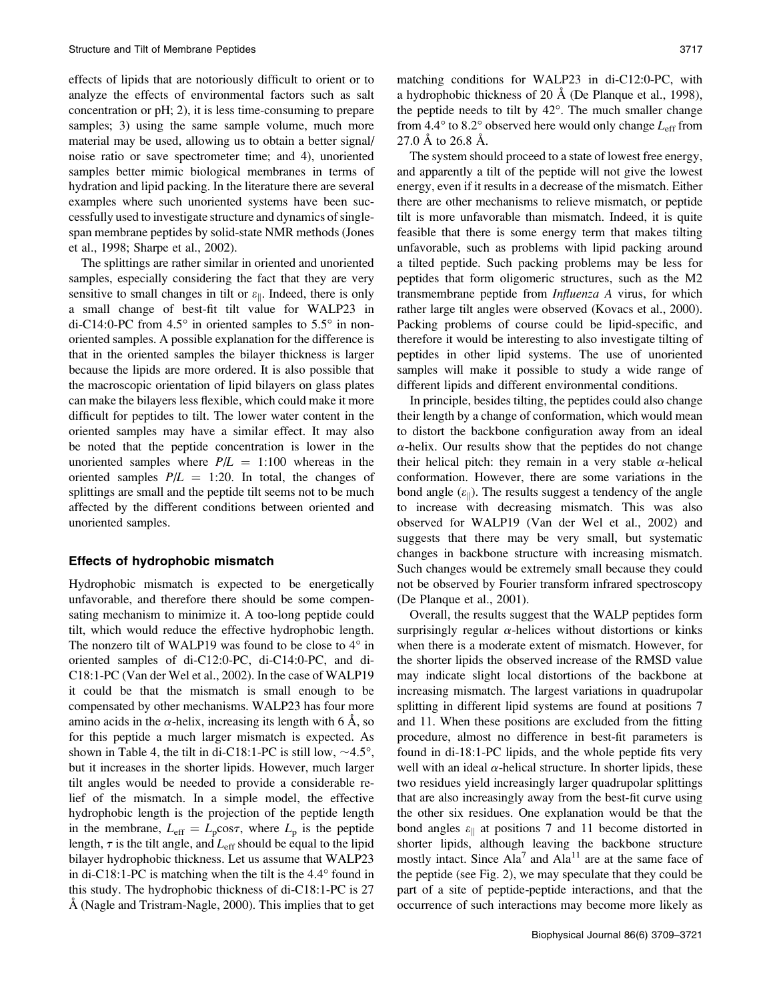effects of lipids that are notoriously difficult to orient or to analyze the effects of environmental factors such as salt concentration or pH; 2), it is less time-consuming to prepare samples; 3) using the same sample volume, much more material may be used, allowing us to obtain a better signal/ noise ratio or save spectrometer time; and 4), unoriented samples better mimic biological membranes in terms of hydration and lipid packing. In the literature there are several examples where such unoriented systems have been successfully used to investigate structure and dynamics of singlespan membrane peptides by solid-state NMR methods (Jones et al., 1998; Sharpe et al., 2002).

The splittings are rather similar in oriented and unoriented samples, especially considering the fact that they are very sensitive to small changes in tilt or  $\varepsilon_{\parallel}$ . Indeed, there is only a small change of best-fit tilt value for WALP23 in di-C14:0-PC from  $4.5^{\circ}$  in oriented samples to  $5.5^{\circ}$  in nonoriented samples. A possible explanation for the difference is that in the oriented samples the bilayer thickness is larger because the lipids are more ordered. It is also possible that the macroscopic orientation of lipid bilayers on glass plates can make the bilayers less flexible, which could make it more difficult for peptides to tilt. The lower water content in the oriented samples may have a similar effect. It may also be noted that the peptide concentration is lower in the unoriented samples where  $P/L = 1:100$  whereas in the oriented samples  $P/L = 1:20$ . In total, the changes of splittings are small and the peptide tilt seems not to be much affected by the different conditions between oriented and unoriented samples.

## Effects of hydrophobic mismatch

Hydrophobic mismatch is expected to be energetically unfavorable, and therefore there should be some compensating mechanism to minimize it. A too-long peptide could tilt, which would reduce the effective hydrophobic length. The nonzero tilt of WALP19 was found to be close to  $4^\circ$  in oriented samples of di-C12:0-PC, di-C14:0-PC, and di-C18:1-PC (Van der Wel et al., 2002). In the case of WALP19 it could be that the mismatch is small enough to be compensated by other mechanisms. WALP23 has four more amino acids in the  $\alpha$ -helix, increasing its length with 6 Å, so for this peptide a much larger mismatch is expected. As shown in Table 4, the tilt in di-C18:1-PC is still low,  $\sim$ 4.5°, but it increases in the shorter lipids. However, much larger tilt angles would be needed to provide a considerable relief of the mismatch. In a simple model, the effective hydrophobic length is the projection of the peptide length in the membrane,  $L_{\text{eff}} = L_{\text{p}} \cos \tau$ , where  $L_{\text{p}}$  is the peptide length,  $\tau$  is the tilt angle, and  $L_{\text{eff}}$  should be equal to the lipid bilayer hydrophobic thickness. Let us assume that WALP23 in di-C18:1-PC is matching when the tilt is the  $4.4^{\circ}$  found in this study. The hydrophobic thickness of di-C18:1-PC is 27  $\AA$  (Nagle and Tristram-Nagle, 2000). This implies that to get matching conditions for WALP23 in di-C12:0-PC, with a hydrophobic thickness of 20 A˚ (De Planque et al., 1998), the peptide needs to tilt by  $42^{\circ}$ . The much smaller change from 4.4 $\degree$  to 8.2 $\degree$  observed here would only change  $L_{\text{eff}}$  from  $27.0 \text{ Å}$  to  $26.8 \text{ Å}$ .

The system should proceed to a state of lowest free energy, and apparently a tilt of the peptide will not give the lowest energy, even if it results in a decrease of the mismatch. Either there are other mechanisms to relieve mismatch, or peptide tilt is more unfavorable than mismatch. Indeed, it is quite feasible that there is some energy term that makes tilting unfavorable, such as problems with lipid packing around a tilted peptide. Such packing problems may be less for peptides that form oligomeric structures, such as the M2 transmembrane peptide from Influenza A virus, for which rather large tilt angles were observed (Kovacs et al., 2000). Packing problems of course could be lipid-specific, and therefore it would be interesting to also investigate tilting of peptides in other lipid systems. The use of unoriented samples will make it possible to study a wide range of different lipids and different environmental conditions.

In principle, besides tilting, the peptides could also change their length by a change of conformation, which would mean to distort the backbone configuration away from an ideal  $\alpha$ -helix. Our results show that the peptides do not change their helical pitch: they remain in a very stable  $\alpha$ -helical conformation. However, there are some variations in the bond angle  $(\varepsilon_{\parallel})$ . The results suggest a tendency of the angle to increase with decreasing mismatch. This was also observed for WALP19 (Van der Wel et al., 2002) and suggests that there may be very small, but systematic changes in backbone structure with increasing mismatch. Such changes would be extremely small because they could not be observed by Fourier transform infrared spectroscopy (De Planque et al., 2001).

Overall, the results suggest that the WALP peptides form surprisingly regular  $\alpha$ -helices without distortions or kinks when there is a moderate extent of mismatch. However, for the shorter lipids the observed increase of the RMSD value may indicate slight local distortions of the backbone at increasing mismatch. The largest variations in quadrupolar splitting in different lipid systems are found at positions 7 and 11. When these positions are excluded from the fitting procedure, almost no difference in best-fit parameters is found in di-18:1-PC lipids, and the whole peptide fits very well with an ideal  $\alpha$ -helical structure. In shorter lipids, these two residues yield increasingly larger quadrupolar splittings that are also increasingly away from the best-fit curve using the other six residues. One explanation would be that the bond angles  $\varepsilon_{\parallel}$  at positions 7 and 11 become distorted in shorter lipids, although leaving the backbone structure mostly intact. Since  $\text{Ala}^7$  and  $\text{Ala}^{11}$  are at the same face of the peptide (see Fig. 2), we may speculate that they could be part of a site of peptide-peptide interactions, and that the occurrence of such interactions may become more likely as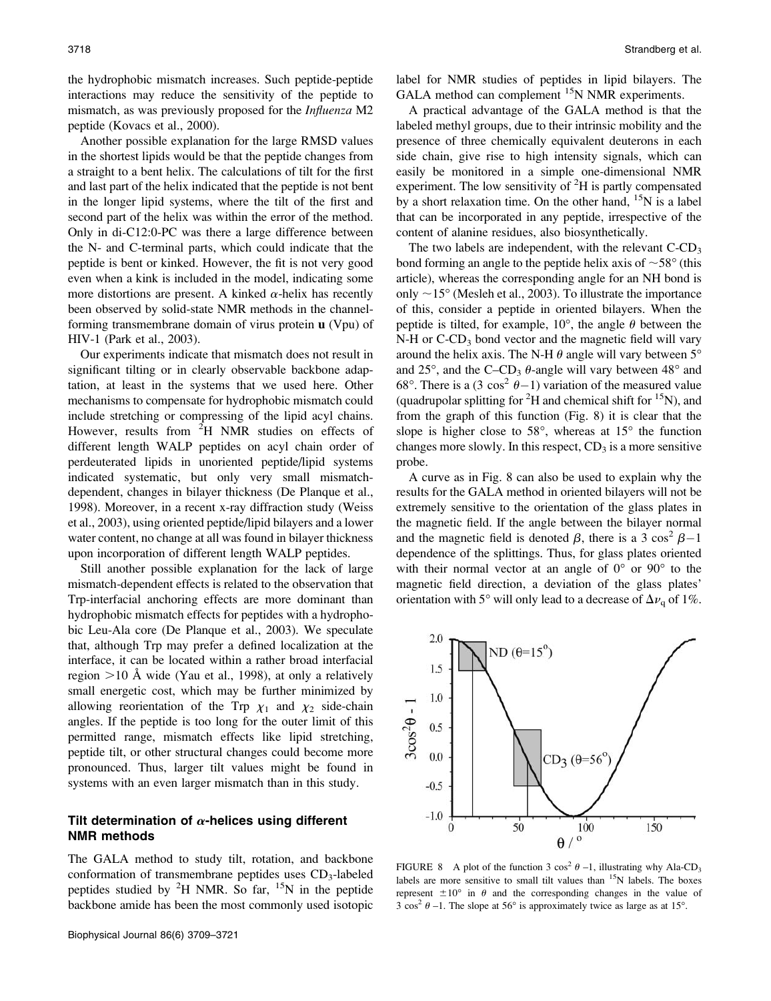the hydrophobic mismatch increases. Such peptide-peptide interactions may reduce the sensitivity of the peptide to mismatch, as was previously proposed for the Influenza M2 peptide (Kovacs et al., 2000).

Another possible explanation for the large RMSD values in the shortest lipids would be that the peptide changes from a straight to a bent helix. The calculations of tilt for the first and last part of the helix indicated that the peptide is not bent in the longer lipid systems, where the tilt of the first and second part of the helix was within the error of the method. Only in di-C12:0-PC was there a large difference between the N- and C-terminal parts, which could indicate that the peptide is bent or kinked. However, the fit is not very good even when a kink is included in the model, indicating some more distortions are present. A kinked  $\alpha$ -helix has recently been observed by solid-state NMR methods in the channelforming transmembrane domain of virus protein  $\bf{u}$  (Vpu) of HIV-1 (Park et al., 2003).

Our experiments indicate that mismatch does not result in significant tilting or in clearly observable backbone adaptation, at least in the systems that we used here. Other mechanisms to compensate for hydrophobic mismatch could include stretching or compressing of the lipid acyl chains. However, results from  ${}^{2}H$  NMR studies on effects of different length WALP peptides on acyl chain order of perdeuterated lipids in unoriented peptide/lipid systems indicated systematic, but only very small mismatchdependent, changes in bilayer thickness (De Planque et al., 1998). Moreover, in a recent x-ray diffraction study (Weiss et al., 2003), using oriented peptide/lipid bilayers and a lower water content, no change at all was found in bilayer thickness upon incorporation of different length WALP peptides.

Still another possible explanation for the lack of large mismatch-dependent effects is related to the observation that Trp-interfacial anchoring effects are more dominant than hydrophobic mismatch effects for peptides with a hydrophobic Leu-Ala core (De Planque et al., 2003). We speculate that, although Trp may prefer a defined localization at the interface, it can be located within a rather broad interfacial region  $>10$  Å wide (Yau et al., 1998), at only a relatively small energetic cost, which may be further minimized by allowing reorientation of the Trp  $\chi_1$  and  $\chi_2$  side-chain angles. If the peptide is too long for the outer limit of this permitted range, mismatch effects like lipid stretching, peptide tilt, or other structural changes could become more pronounced. Thus, larger tilt values might be found in systems with an even larger mismatch than in this study.

# Tilt determination of  $\alpha$ -helices using different NMR methods

The GALA method to study tilt, rotation, and backbone conformation of transmembrane peptides uses  $CD<sub>3</sub>$ -labeled peptides studied by  ${}^{2}H$  NMR. So far,  ${}^{15}N$  in the peptide backbone amide has been the most commonly used isotopic

label for NMR studies of peptides in lipid bilayers. The GALA method can complement <sup>15</sup>N NMR experiments.

A practical advantage of the GALA method is that the labeled methyl groups, due to their intrinsic mobility and the presence of three chemically equivalent deuterons in each side chain, give rise to high intensity signals, which can easily be monitored in a simple one-dimensional NMR experiment. The low sensitivity of  ${}^{2}H$  is partly compensated by a short relaxation time. On the other hand,  $^{15}N$  is a label that can be incorporated in any peptide, irrespective of the content of alanine residues, also biosynthetically.

The two labels are independent, with the relevant  $C$ - $CD_3$ bond forming an angle to the peptide helix axis of  $\sim 58^\circ$  (this article), whereas the corresponding angle for an NH bond is only  $\sim$ 15 $\degree$  (Mesleh et al., 2003). To illustrate the importance of this, consider a peptide in oriented bilayers. When the peptide is tilted, for example, 10°, the angle  $\theta$  between the  $N-H$  or  $C-CD_3$  bond vector and the magnetic field will vary around the helix axis. The N-H  $\theta$  angle will vary between 5° and  $25^{\circ}$ , and the C–CD<sub>3</sub>  $\theta$ -angle will vary between 48 $^{\circ}$  and 68°. There is a  $(3 \cos^2 \theta - 1)$  variation of the measured value (quadrupolar splitting for  ${}^{2}H$  and chemical shift for  ${}^{15}N$ ), and from the graph of this function (Fig. 8) it is clear that the slope is higher close to  $58^\circ$ , whereas at  $15^\circ$  the function changes more slowly. In this respect,  $CD_3$  is a more sensitive probe.

A curve as in Fig. 8 can also be used to explain why the results for the GALA method in oriented bilayers will not be extremely sensitive to the orientation of the glass plates in the magnetic field. If the angle between the bilayer normal and the magnetic field is denoted  $\beta$ , there is a 3 cos<sup>2</sup>  $\beta$ -1 dependence of the splittings. Thus, for glass plates oriented with their normal vector at an angle of  $0^{\circ}$  or  $90^{\circ}$  to the magnetic field direction, a deviation of the glass plates' orientation with 5° will only lead to a decrease of  $\Delta v_a$  of 1%.

FIGURE 8 A plot of the function 3  $\cos^2 \theta -1$ , illustrating why Ala-CD<sub>3</sub> labels are more sensitive to small tilt values than  $15N$  labels. The boxes represent  $\pm 10^{\circ}$  in  $\theta$  and the corresponding changes in the value of 3 cos<sup>2</sup>  $\theta$  –1. The slope at 56° is approximately twice as large as at 15°.

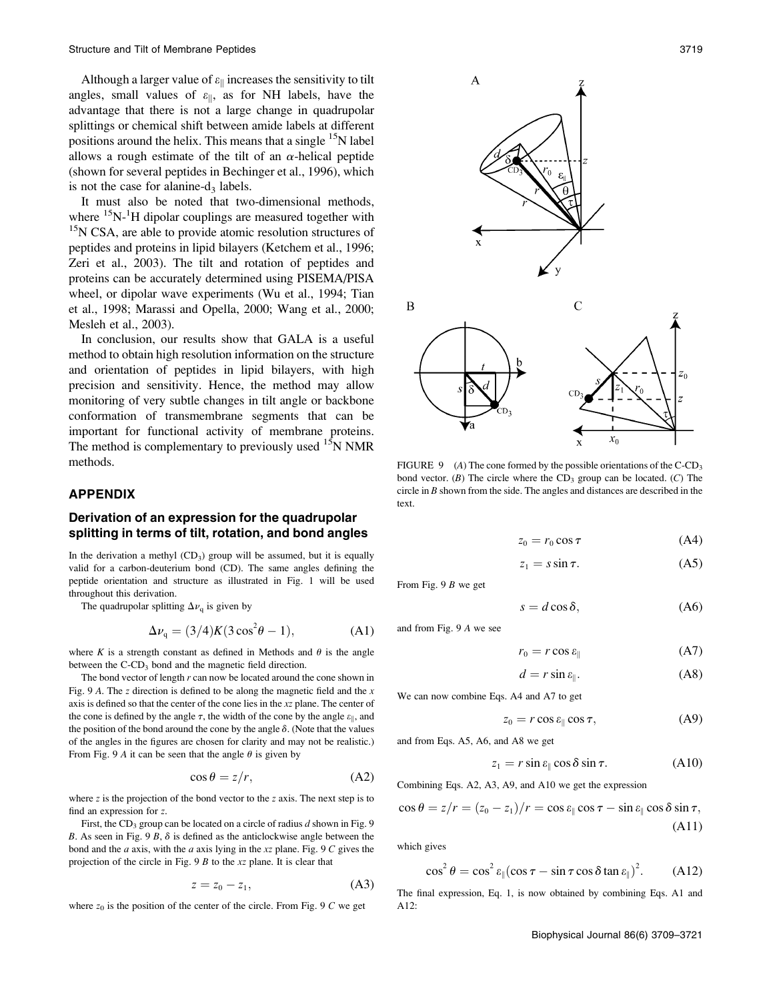Although a larger value of  $\varepsilon_{\parallel}$  increases the sensitivity to tilt angles, small values of  $\varepsilon_{\parallel}$ , as for NH labels, have the advantage that there is not a large change in quadrupolar splittings or chemical shift between amide labels at different positions around the helix. This means that a single <sup>15</sup>N label allows a rough estimate of the tilt of an  $\alpha$ -helical peptide (shown for several peptides in Bechinger et al., 1996), which is not the case for alanine-d<sub>3</sub> labels.

It must also be noted that two-dimensional methods, where  ${}^{15}N$ -<sup>1</sup>H dipolar couplings are measured together with <sup>15</sup>N CSA, are able to provide atomic resolution structures of peptides and proteins in lipid bilayers (Ketchem et al., 1996; Zeri et al., 2003). The tilt and rotation of peptides and proteins can be accurately determined using PISEMA/PISA wheel, or dipolar wave experiments (Wu et al., 1994; Tian et al., 1998; Marassi and Opella, 2000; Wang et al., 2000; Mesleh et al., 2003).

In conclusion, our results show that GALA is a useful method to obtain high resolution information on the structure and orientation of peptides in lipid bilayers, with high precision and sensitivity. Hence, the method may allow monitoring of very subtle changes in tilt angle or backbone conformation of transmembrane segments that can be important for functional activity of membrane proteins. The method is complementary to previously used  $15N NMR$ methods.

# APPENDIX

# Derivation of an expression for the quadrupolar splitting in terms of tilt, rotation, and bond angles

In the derivation a methyl  $(CD_3)$  group will be assumed, but it is equally valid for a carbon-deuterium bond (CD). The same angles defining the peptide orientation and structure as illustrated in Fig. 1 will be used throughout this derivation.

The quadrupolar splitting  $\Delta v_{\rm q}$  is given by

$$
\Delta \nu_{\mathbf{q}} = (3/4)K(3\cos^2\theta - 1),\tag{A1}
$$

where K is a strength constant as defined in Methods and  $\theta$  is the angle between the C-CD<sub>3</sub> bond and the magnetic field direction.

The bond vector of length  $r$  can now be located around the cone shown in Fig. 9 A. The z direction is defined to be along the magnetic field and the  $x$ axis is defined so that the center of the cone lies in the  $xz$  plane. The center of the cone is defined by the angle  $\tau$ , the width of the cone by the angle  $\varepsilon_{\parallel}$ , and the position of the bond around the cone by the angle  $\delta$ . (Note that the values of the angles in the figures are chosen for clarity and may not be realistic.) From Fig. 9 A it can be seen that the angle  $\theta$  is given by

$$
\cos \theta = z/r,\tag{A2}
$$

where  $z$  is the projection of the bond vector to the  $z$  axis. The next step is to find an expression for z.

First, the  $CD_3$  group can be located on a circle of radius d shown in Fig. 9 B. As seen in Fig. 9 B,  $\delta$  is defined as the anticlockwise angle between the bond and the  $a$  axis, with the  $a$  axis lying in the xz plane. Fig. 9  $C$  gives the projection of the circle in Fig. 9  $\hat{B}$  to the xz plane. It is clear that

$$
z = z_0 - z_1,\tag{A3}
$$

where  $z_0$  is the position of the center of the circle. From Fig. 9 C we get



FIGURE 9 (A) The cone formed by the possible orientations of the  $C$ -CD<sub>3</sub> bond vector. ( $B$ ) The circle where the  $CD_3$  group can be located. ( $C$ ) The circle in B shown from the side. The angles and distances are described in the text.

$$
z_0 = r_0 \cos \tau \tag{A4}
$$

$$
z_1 = s \sin \tau. \tag{A5}
$$

From Fig. 9  $B$  we get

$$
s = d\cos\delta,\tag{A6}
$$

and from Fig. 9 A we see

$$
r_0 = r \cos \varepsilon_{\parallel} \tag{A7}
$$

$$
d = r \sin \varepsilon_{\parallel}.\tag{A8}
$$

We can now combine Eqs. A4 and A7 to get

$$
z_0 = r \cos \varepsilon_{\parallel} \cos \tau, \tag{A9}
$$

and from Eqs. A5, A6, and A8 we get

$$
z_1 = r \sin \varepsilon_{\parallel} \cos \delta \sin \tau. \tag{A10}
$$

Combining Eqs. A2, A3, A9, and A10 we get the expression

$$
\cos \theta = z/r = (z_0 - z_1)/r = \cos \varepsilon_{\parallel} \cos \tau - \sin \varepsilon_{\parallel} \cos \delta \sin \tau,
$$
\n(A11)

which gives

$$
\cos^2 \theta = \cos^2 \varepsilon_{\parallel} (\cos \tau - \sin \tau \cos \delta \tan \varepsilon_{\parallel})^2. \tag{A12}
$$

The final expression, Eq. 1, is now obtained by combining Eqs. A1 and A12: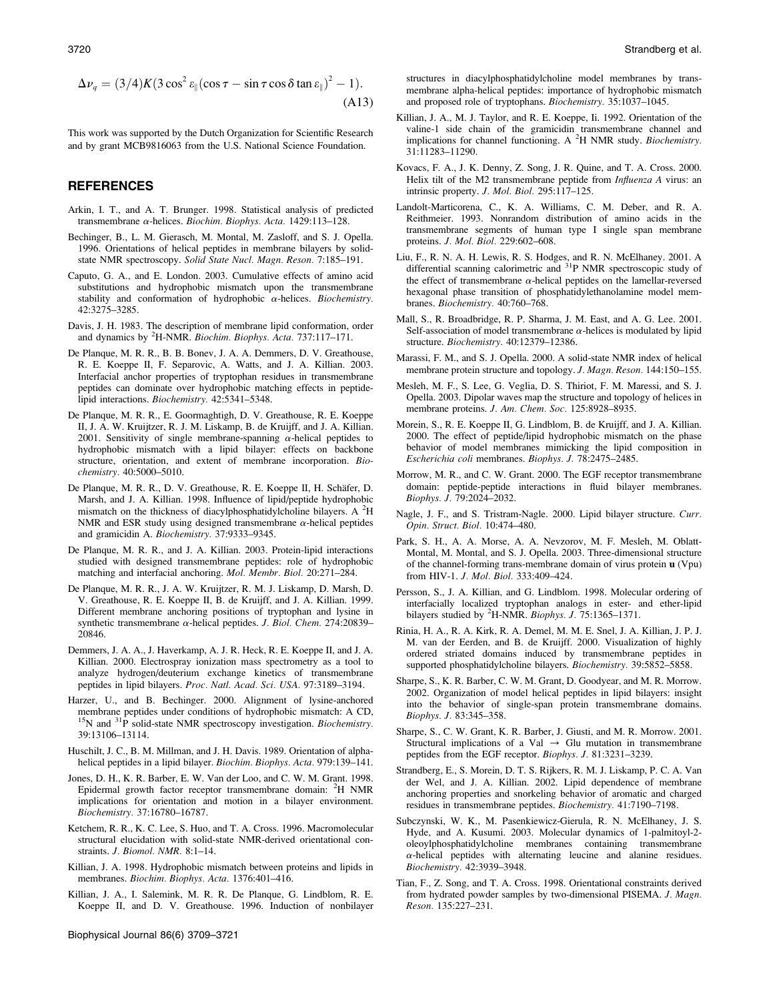$$
\Delta \nu_q = (3/4)K(3\cos^2 \varepsilon_{\parallel} (\cos \tau - \sin \tau \cos \delta \tan \varepsilon_{\parallel})^2 - 1).
$$
\n(A13)

This work was supported by the Dutch Organization for Scientific Research and by grant MCB9816063 from the U.S. National Science Foundation.

## **REFERENCES**

- Arkin, I. T., and A. T. Brunger. 1998. Statistical analysis of predicted transmembrane  $\alpha$ -helices. *Biochim. Biophys. Acta.* 1429:113-128.
- Bechinger, B., L. M. Gierasch, M. Montal, M. Zasloff, and S. J. Opella. 1996. Orientations of helical peptides in membrane bilayers by solidstate NMR spectroscopy. Solid State Nucl. Magn. Reson. 7:185–191.
- Caputo, G. A., and E. London. 2003. Cumulative effects of amino acid substitutions and hydrophobic mismatch upon the transmembrane stability and conformation of hydrophobic  $\alpha$ -helices. Biochemistry. 42:3275–3285.
- Davis, J. H. 1983. The description of membrane lipid conformation, order and dynamics by <sup>2</sup>H-NMR. Biochim. Biophys. Acta. 737:117-171.
- De Planque, M. R. R., B. B. Bonev, J. A. A. Demmers, D. V. Greathouse, R. E. Koeppe II, F. Separovic, A. Watts, and J. A. Killian. 2003. Interfacial anchor properties of tryptophan residues in transmembrane peptides can dominate over hydrophobic matching effects in peptidelipid interactions. Biochemistry. 42:5341–5348.
- De Planque, M. R. R., E. Goormaghtigh, D. V. Greathouse, R. E. Koeppe II, J. A. W. Kruijtzer, R. J. M. Liskamp, B. de Kruijff, and J. A. Killian. 2001. Sensitivity of single membrane-spanning  $\alpha$ -helical peptides to hydrophobic mismatch with a lipid bilayer: effects on backbone structure, orientation, and extent of membrane incorporation. Biochemistry. 40:5000–5010.
- De Planque, M. R. R., D. V. Greathouse, R. E. Koeppe II, H. Schäfer, D. Marsh, and J. A. Killian. 1998. Influence of lipid/peptide hydrophobic mismatch on the thickness of diacylphosphatidylcholine bilayers. A <sup>2</sup>H NMR and ESR study using designed transmembrane  $\alpha$ -helical peptides and gramicidin A. Biochemistry. 37:9333–9345.
- De Planque, M. R. R., and J. A. Killian. 2003. Protein-lipid interactions studied with designed transmembrane peptides: role of hydrophobic matching and interfacial anchoring. Mol. Membr. Biol. 20:271–284.
- De Planque, M. R. R., J. A. W. Kruijtzer, R. M. J. Liskamp, D. Marsh, D. V. Greathouse, R. E. Koeppe II, B. de Kruijff, and J. A. Killian. 1999. Different membrane anchoring positions of tryptophan and lysine in synthetic transmembrane  $\alpha$ -helical peptides. J. Biol. Chem. 274:20839-20846.
- Demmers, J. A. A., J. Haverkamp, A. J. R. Heck, R. E. Koeppe II, and J. A. Killian. 2000. Electrospray ionization mass spectrometry as a tool to analyze hydrogen/deuterium exchange kinetics of transmembrane peptides in lipid bilayers. Proc. Natl. Acad. Sci. USA. 97:3189–3194.
- Harzer, U., and B. Bechinger. 2000. Alignment of lysine-anchored membrane peptides under conditions of hydrophobic mismatch: A CD,  $15N$  and  $31P$  solid-state NMR spectroscopy investigation. Biochemistry. 39:13106–13114.
- Huschilt, J. C., B. M. Millman, and J. H. Davis. 1989. Orientation of alphahelical peptides in a lipid bilayer. Biochim. Biophys. Acta. 979:139–141.
- Jones, D. H., K. R. Barber, E. W. Van der Loo, and C. W. M. Grant. 1998. Epidermal growth factor receptor transmembrane domain: <sup>2</sup>H NMR implications for orientation and motion in a bilayer environment. Biochemistry. 37:16780–16787.
- Ketchem, R. R., K. C. Lee, S. Huo, and T. A. Cross. 1996. Macromolecular structural elucidation with solid-state NMR-derived orientational constraints. J. Biomol. NMR. 8:1–14.
- Killian, J. A. 1998. Hydrophobic mismatch between proteins and lipids in membranes. Biochim. Biophys. Acta. 1376:401–416.
- Killian, J. A., I. Salemink, M. R. R. De Planque, G. Lindblom, R. E. Koeppe II, and D. V. Greathouse. 1996. Induction of nonbilayer

structures in diacylphosphatidylcholine model membranes by transmembrane alpha-helical peptides: importance of hydrophobic mismatch and proposed role of tryptophans. Biochemistry. 35:1037–1045.

- Killian, J. A., M. J. Taylor, and R. E. Koeppe, Ii. 1992. Orientation of the valine-1 side chain of the gramicidin transmembrane channel and implications for channel functioning. A  ${}^{2}H$  NMR study. Biochemistry. 31:11283–11290.
- Kovacs, F. A., J. K. Denny, Z. Song, J. R. Quine, and T. A. Cross. 2000. Helix tilt of the M2 transmembrane peptide from Influenza A virus: an intrinsic property. J. Mol. Biol. 295:117–125.
- Landolt-Marticorena, C., K. A. Williams, C. M. Deber, and R. A. Reithmeier. 1993. Nonrandom distribution of amino acids in the transmembrane segments of human type I single span membrane proteins. J. Mol. Biol. 229:602–608.
- Liu, F., R. N. A. H. Lewis, R. S. Hodges, and R. N. McElhaney. 2001. A differential scanning calorimetric and <sup>31</sup>P NMR spectroscopic study of the effect of transmembrane  $\alpha$ -helical peptides on the lamellar-reversed hexagonal phase transition of phosphatidylethanolamine model membranes. Biochemistry. 40:760–768.
- Mall, S., R. Broadbridge, R. P. Sharma, J. M. East, and A. G. Lee. 2001. Self-association of model transmembrane  $\alpha$ -helices is modulated by lipid structure. Biochemistry. 40:12379–12386.
- Marassi, F. M., and S. J. Opella. 2000. A solid-state NMR index of helical membrane protein structure and topology. J. Magn. Reson. 144:150–155.
- Mesleh, M. F., S. Lee, G. Veglia, D. S. Thiriot, F. M. Maressi, and S. J. Opella. 2003. Dipolar waves map the structure and topology of helices in membrane proteins. J. Am. Chem. Soc. 125:8928–8935.
- Morein, S., R. E. Koeppe II, G. Lindblom, B. de Kruijff, and J. A. Killian. 2000. The effect of peptide/lipid hydrophobic mismatch on the phase behavior of model membranes mimicking the lipid composition in Escherichia coli membranes. Biophys. J. 78:2475–2485.
- Morrow, M. R., and C. W. Grant. 2000. The EGF receptor transmembrane domain: peptide-peptide interactions in fluid bilayer membranes. Biophys. J. 79:2024–2032.
- Nagle, J. F., and S. Tristram-Nagle. 2000. Lipid bilayer structure. Curr. Opin. Struct. Biol. 10:474–480.
- Park, S. H., A. A. Morse, A. A. Nevzorov, M. F. Mesleh, M. Oblatt-Montal, M. Montal, and S. J. Opella. 2003. Three-dimensional structure of the channel-forming trans-membrane domain of virus protein u (Vpu) from HIV-1. J. Mol. Biol. 333:409–424.
- Persson, S., J. A. Killian, and G. Lindblom. 1998. Molecular ordering of interfacially localized tryptophan analogs in ester- and ether-lipid bilayers studied by  ${}^{2}$ H-NMR. *Biophys. J.* 75:1365–1371.
- Rinia, H. A., R. A. Kirk, R. A. Demel, M. M. E. Snel, J. A. Killian, J. P. J. M. van der Eerden, and B. de Kruijff. 2000. Visualization of highly ordered striated domains induced by transmembrane peptides in supported phosphatidylcholine bilayers. Biochemistry. 39:5852–5858.
- Sharpe, S., K. R. Barber, C. W. M. Grant, D. Goodyear, and M. R. Morrow. 2002. Organization of model helical peptides in lipid bilayers: insight into the behavior of single-span protein transmembrane domains. Biophys. J. 83:345–358.
- Sharpe, S., C. W. Grant, K. R. Barber, J. Giusti, and M. R. Morrow. 2001. Structural implications of a Val  $\rightarrow$  Glu mutation in transmembrane peptides from the EGF receptor. Biophys. J. 81:3231–3239.
- Strandberg, E., S. Morein, D. T. S. Rijkers, R. M. J. Liskamp, P. C. A. Van der Wel, and J. A. Killian. 2002. Lipid dependence of membrane anchoring properties and snorkeling behavior of aromatic and charged residues in transmembrane peptides. Biochemistry. 41:7190–7198.
- Subczynski, W. K., M. Pasenkiewicz-Gierula, R. N. McElhaney, J. S. Hyde, and A. Kusumi. 2003. Molecular dynamics of 1-palmitoyl-2 oleoylphosphatidylcholine membranes containing transmembrane  $\alpha$ -helical peptides with alternating leucine and alanine residues. Biochemistry. 42:3939–3948.
- Tian, F., Z. Song, and T. A. Cross. 1998. Orientational constraints derived from hydrated powder samples by two-dimensional PISEMA. J. Magn. Reson. 135:227–231.